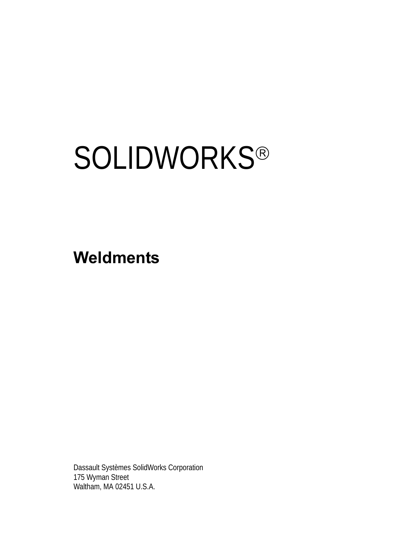# **SOLIDWORKS®**

**Weldments**

Dassault Systèmes SolidWorks Corporation 175 Wyman Street Waltham, MA 02451 U.S.A.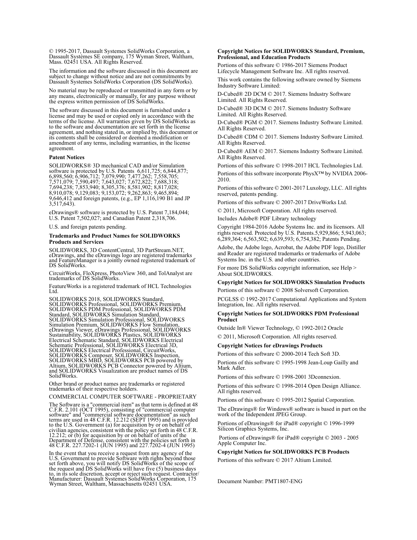© 1995-2017, Dassault Systemes SolidWorks Corporation, a Dassault Systèmes SE company, 175 Wyman Street, Waltham, Mass. 02451 USA. All Rights Reserved.

The information and the software discussed in this document are subject to change without notice and are not commitments by Dassault Systemes SolidWorks Corporation (DS SolidWorks).

No material may be reproduced or transmitted in any form or by any means, electronically or manually, for any purpose without the express written permission of DS SolidWorks.

The software discussed in this document is furnished under a license and may be used or copied only in accordance with the terms of the license. All warranties given by DS SolidWorks as to the software and documentation are set forth in the license agreement, and nothing stated in, or implied by, this document or its contents shall be considered or deemed a modification or amendment of any terms, including warranties, in the license agreement.

#### **Patent Notices**

SOLIDWORKS® 3D mechanical CAD and/or Simulation software is protected by U.S. Patents 6,611,725; 6,844,877; 6,898,560; 6,906,712; 7,079,990; 7,477,262; 7,558,705; 7,571,079; 7,590,497; 7,643,027; 7,672,822; 7,688,318; 7,694,238; 7,853,940; 8,305,376; 8,581,902; 8,817,028; 8,910,078; 9,129,083; 9,153,072; 9,262,863; 9,465,894; 9,646,412 and foreign patents, (e.g., EP 1,116,190 B1 and JP  $3,517,643$ ).

eDrawings® software is protected by U.S. Patent 7,184,044; U.S. Patent 7,502,027; and Canadian Patent 2,318,706.

U.S. and foreign patents pending.

#### **Trademarks and Product Names for SOLIDWORKS Products and Services**

SOLIDWORKS, 3D ContentCentral, 3D PartStream.NET, eDrawings, and the eDrawings logo are registered trademarks and FeatureManager is a jointly owned registered trademark of DS SolidWorks.

CircuitWorks, FloXpress, PhotoView 360, and TolAnalyst are trademarks of DS SolidWorks.

FeatureWorks is a registered trademark of HCL Technologies Ltd.

SOLIDWORKS 2018, SOLIDWORKS Standard, SOLIDWORKS Professional, SOLIDWORKS Premium, SOLIDWORKS PDM Professional, SOLIDWORKS PDM Standard, SOLIDWORKS Simulation Standard, SOLIDWORKS Simulation Professional, SOLIDWORKS<br>Simulation Premium, SOLIDWORKS Flow Simulation,<br>eDrawings Viewer, eDrawings Professional, SOLIDWORKS<br>Sustainability, SOLIDWORKS Plastics, SOLIDWORKS<br>Electrical Schematic Stand SOLIDWORKS Electrical Professional, CircuitWorks,<br>SOLIDWORKS Composer, SOLIDWORKS Inspection,<br>SOLIDWORKS MBD, SOLIDWORKS PCB powered by<br>Altium, SOLIDWORKS PCB Connector powered by Altium,<br>and SOLIDWORKS Visualization are p SolidWorks.

Other brand or product names are trademarks or registered trademarks of their respective holders.

COMMERCIAL COMPUTER SOFTWARE - PROPRIETARY

The Software is a "commercial item" as that term is defined at 48 C.F.R. 2.101 (OCT 1995), consisting of "commercial computer C.F.R. 2.101 (OCT 1995), consisting of "commercial computer<br>software" and "commercial software documentation" as such<br>terms are used in 48 C.F.R. 12.212 (SEPT 1995) and is provided<br>to the U.S. Government (a) for acquisitio 12.212; or (b) for acquisition by or on behalf of units of the Department of Defense, consistent with the policies set forth in 48 C.F.R. 227.7202-1 (JUN 1995) and 227.7202-4 (JUN 1995)

In the event that you receive a request from any agency of the U.S. Government to provide Software with rights beyond those set forth above, you will notify DS SolidWorks of the scope of the request and DS SolidWorks will

#### **Copyright Notices for SOLIDWORKS Standard, Premium, Professional, and Education Products**

Portions of this software © 1986-2017 Siemens Product Lifecycle Management Software Inc. All rights reserved.

This work contains the following software owned by Siemens Industry Software Limited:

D-Cubed® 2D DCM © 2017. Siemens Industry Software Limited. All Rights Reserved.

D-Cubed® 3D DCM © 2017. Siemens Industry Software Limited. All Rights Reserved.

D-Cubed® PGM © 2017. Siemens Industry Software Limited. All Rights Reserved.

D-Cubed® CDM © 2017. Siemens Industry Software Limited. All Rights Reserved.

D-Cubed® AEM © 2017. Siemens Industry Software Limited. All Rights Reserved.

Portions of this software © 1998-2017 HCL Technologies Ltd. Portions of this software incorporate PhysX™ by NVIDIA 2006- 2010.

Portions of this software © 2001-2017 Luxology, LLC. All rights reserved, patents pending.

Portions of this software © 2007-2017 DriveWorks Ltd.

© 2011, Microsoft Corporation. All rights reserved.

Includes Adobe® PDF Library technology

Copyright 1984-2016 Adobe Systems Inc. and its licensors. All rights reserved. Protected by U.S. Patents.5,929,866; 5,943,063; 6,289,364; 6,563,502; 6,639,593; 6,754,382; Patents Pending.

Adobe, the Adobe logo, Acrobat, the Adobe PDF logo, Distiller and Reader are registered trademarks or trademarks of Adobe Systems Inc. in the U.S. and other countries.

For more DS SolidWorks copyright information, see Help > About SOLIDWORKS.

#### **Copyright Notices for SOLIDWORKS Simulation Products**

Portions of this software © 2008 Solversoft Corporation.

PCGLSS © 1992-2017 Computational Applications and System Integration, Inc. All rights reserved.

#### **Copyright Notices for SOLIDWORKS PDM Professional Product**

Outside In® Viewer Technology, © 1992-2012 Oracle © 2011, Microsoft Corporation. All rights reserved.

#### **Copyright Notices for eDrawings Products**

Portions of this software © 2000-2014 Tech Soft 3D.

Portions of this software © 1995-1998 Jean-Loup Gailly and Mark Adler.

Portions of this software © 1998-2001 3Dconnexion.

Portions of this software © 1998-2014 Open Design Alliance. All rights reserved.

Portions of this software © 1995-2012 Spatial Corporation.

The eDrawings® for Windows® software is based in part on the work of the Independent JPEG Group.

Portions of eDrawings® for iPad® copyright © 1996-1999 Silicon Graphics Systems, Inc.

 Portions of eDrawings® for iPad® copyright © 2003 - 2005 Apple Computer Inc.

#### **Copyright Notices for SOLIDWORKS PCB Products**

Portions of this software © 2017 Altium Limited.

Document Number: PMT1807-ENG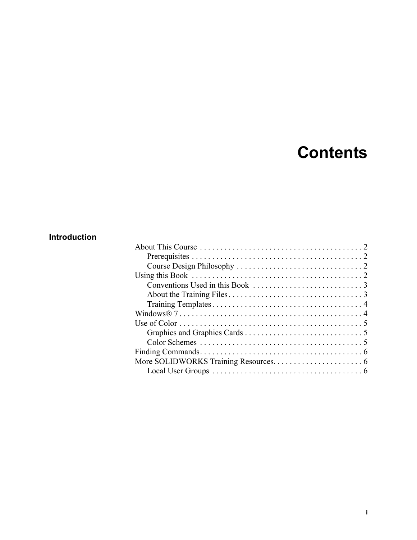## **Contents**

## **Introduction**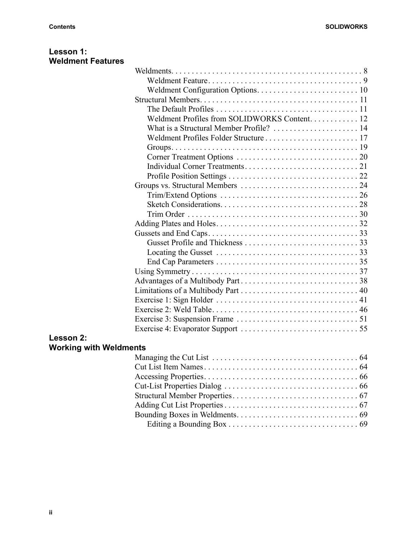| Lesson 1:                     |                                                                                                  |  |
|-------------------------------|--------------------------------------------------------------------------------------------------|--|
| <b>Weldment Features</b>      |                                                                                                  |  |
|                               |                                                                                                  |  |
|                               |                                                                                                  |  |
|                               |                                                                                                  |  |
|                               |                                                                                                  |  |
|                               |                                                                                                  |  |
|                               | Weldment Profiles from SOLIDWORKS Content 12                                                     |  |
|                               |                                                                                                  |  |
|                               |                                                                                                  |  |
|                               |                                                                                                  |  |
|                               |                                                                                                  |  |
|                               |                                                                                                  |  |
|                               |                                                                                                  |  |
|                               |                                                                                                  |  |
|                               |                                                                                                  |  |
|                               |                                                                                                  |  |
|                               |                                                                                                  |  |
|                               |                                                                                                  |  |
|                               |                                                                                                  |  |
|                               |                                                                                                  |  |
|                               | Locating the Gusset $\dots \dots \dots \dots \dots \dots \dots \dots \dots \dots \dots \dots$ 33 |  |
|                               |                                                                                                  |  |
|                               |                                                                                                  |  |
|                               |                                                                                                  |  |
|                               |                                                                                                  |  |
|                               |                                                                                                  |  |
|                               |                                                                                                  |  |
|                               |                                                                                                  |  |
|                               |                                                                                                  |  |
| Lesson 2:                     |                                                                                                  |  |
| <b>Working with Weldments</b> |                                                                                                  |  |
|                               |                                                                                                  |  |
|                               |                                                                                                  |  |
|                               |                                                                                                  |  |
|                               |                                                                                                  |  |
|                               |                                                                                                  |  |
|                               |                                                                                                  |  |
|                               |                                                                                                  |  |

Editing a Bounding Box . . . . . . . . . . . . . . . . . . . . . . . . . . . . . . . . 69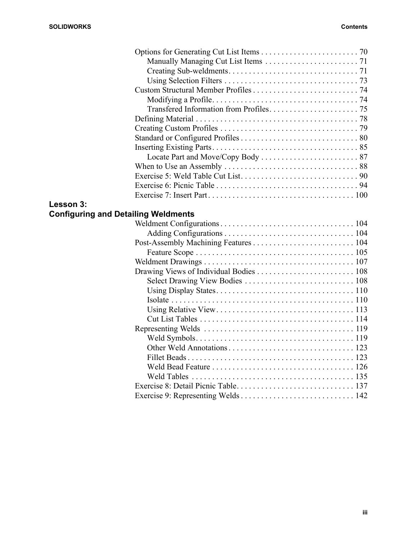| When to Use an Assembly $\dots\dots\dots\dots\dots\dots\dots\dots\dots\dots\dots$ 88 |
|--------------------------------------------------------------------------------------|
|                                                                                      |
|                                                                                      |
|                                                                                      |
|                                                                                      |

## **Lesson 3:**

## **Configuring and Detailing Weldments**